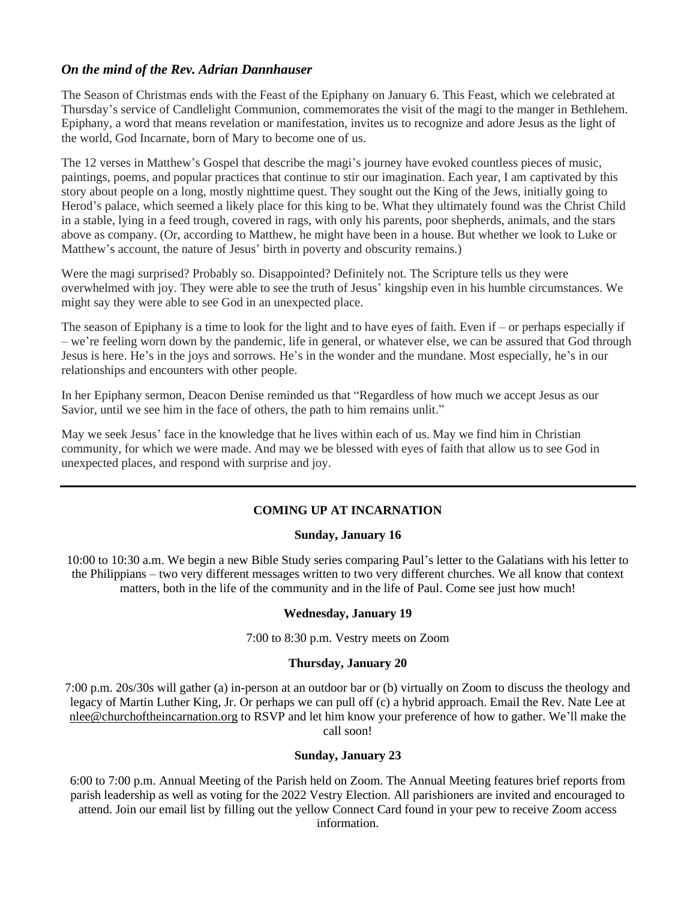# *On the mind of the Rev. Adrian Dannhauser*

The Season of Christmas ends with the Feast of the Epiphany on January 6. This Feast, which we celebrated at Thursday's service of Candlelight Communion, commemorates the visit of the magi to the manger in Bethlehem. Epiphany, a word that means revelation or manifestation, invites us to recognize and adore Jesus as the light of the world, God Incarnate, born of Mary to become one of us.

The 12 verses in Matthew's Gospel that describe the magi's journey have evoked countless pieces of music, paintings, poems, and popular practices that continue to stir our imagination. Each year, I am captivated by this story about people on a long, mostly nighttime quest. They sought out the King of the Jews, initially going to Herod's palace, which seemed a likely place for this king to be. What they ultimately found was the Christ Child in a stable, lying in a feed trough, covered in rags, with only his parents, poor shepherds, animals, and the stars above as company. (Or, according to Matthew, he might have been in a house. But whether we look to Luke or Matthew's account, the nature of Jesus' birth in poverty and obscurity remains.)

Were the magi surprised? Probably so. Disappointed? Definitely not. The Scripture tells us they were overwhelmed with joy. They were able to see the truth of Jesus' kingship even in his humble circumstances. We might say they were able to see God in an unexpected place.

The season of Epiphany is a time to look for the light and to have eyes of faith. Even if – or perhaps especially if – we're feeling worn down by the pandemic, life in general, or whatever else, we can be assured that God through Jesus is here. He's in the joys and sorrows. He's in the wonder and the mundane. Most especially, he's in our relationships and encounters with other people.

In her Epiphany sermon, Deacon Denise reminded us that "Regardless of how much we accept Jesus as our Savior, until we see him in the face of others, the path to him remains unlit."

May we seek Jesus' face in the knowledge that he lives within each of us. May we find him in Christian community, for which we were made. And may we be blessed with eyes of faith that allow us to see God in unexpected places, and respond with surprise and joy.

# **COMING UP AT INCARNATION**

#### **Sunday, January 16**

10:00 to 10:30 a.m. We begin a new Bible Study series comparing Paul's letter to the Galatians with his letter to the Philippians – two very different messages written to two very different churches. We all know that context matters, both in the life of the community and in the life of Paul. Come see just how much!

#### **Wednesday, January 19**

7:00 to 8:30 p.m. Vestry meets on Zoom

#### **Thursday, January 20**

7:00 p.m. 20s/30s will gather (a) in-person at an outdoor bar or (b) virtually on Zoom to discuss the theology and legacy of Martin Luther King, Jr. Or perhaps we can pull off (c) a hybrid approach. [Email the Rev. Nate Lee](mailto:nlee@churchoftheincarnation.org) at nlee@churchoftheincarnation.org to RSVP and let him know your preference of how to gather. We'll make the call soon!

#### **Sunday, January 23**

6:00 to 7:00 p.m. Annual Meeting of the Parish held on Zoom. The Annual Meeting features brief reports from parish leadership as well as voting for the 2022 Vestry Election. All parishioners are invited and encouraged to attend. Join our email list by filling out the yellow Connect Card found in your pew to receive Zoom access information.